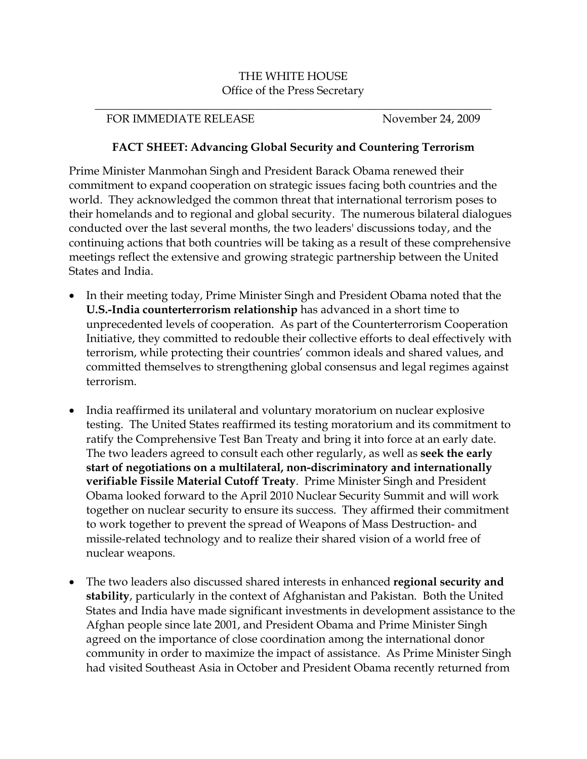## THE WHITE HOUSE Office of the Press Secretary

\_\_\_\_\_\_\_\_\_\_\_\_\_\_\_\_\_\_\_\_\_\_\_\_\_\_\_\_\_\_\_\_\_\_\_\_\_\_\_\_\_\_\_\_\_\_\_\_\_\_\_\_\_\_\_\_\_\_\_\_\_\_\_\_\_\_\_\_\_

## FOR IMMEDIATE RELEASE November 24, 2009

## **FACT SHEET: Advancing Global Security and Countering Terrorism**

Prime Minister Manmohan Singh and President Barack Obama renewed their commitment to expand cooperation on strategic issues facing both countries and the world. They acknowledged the common threat that international terrorism poses to their homelands and to regional and global security. The numerous bilateral dialogues conducted over the last several months, the two leaders' discussions today, and the continuing actions that both countries will be taking as a result of these comprehensive meetings reflect the extensive and growing strategic partnership between the United States and India.

- In their meeting today, Prime Minister Singh and President Obama noted that the **U.S.-India counterterrorism relationship** has advanced in a short time to unprecedented levels of cooperation. As part of the Counterterrorism Cooperation Initiative, they committed to redouble their collective efforts to deal effectively with terrorism, while protecting their countries' common ideals and shared values, and committed themselves to strengthening global consensus and legal regimes against terrorism.
- India reaffirmed its unilateral and voluntary moratorium on nuclear explosive testing. The United States reaffirmed its testing moratorium and its commitment to ratify the Comprehensive Test Ban Treaty and bring it into force at an early date. The two leaders agreed to consult each other regularly, as well as **seek the early start of negotiations on a multilateral, non-discriminatory and internationally verifiable Fissile Material Cutoff Treaty**. Prime Minister Singh and President Obama looked forward to the April 2010 Nuclear Security Summit and will work together on nuclear security to ensure its success. They affirmed their commitment to work together to prevent the spread of Weapons of Mass Destruction- and missile-related technology and to realize their shared vision of a world free of nuclear weapons.
- The two leaders also discussed shared interests in enhanced **regional security and stability**, particularly in the context of Afghanistan and Pakistan. Both the United States and India have made significant investments in development assistance to the Afghan people since late 2001, and President Obama and Prime Minister Singh agreed on the importance of close coordination among the international donor community in order to maximize the impact of assistance. As Prime Minister Singh had visited Southeast Asia in October and President Obama recently returned from